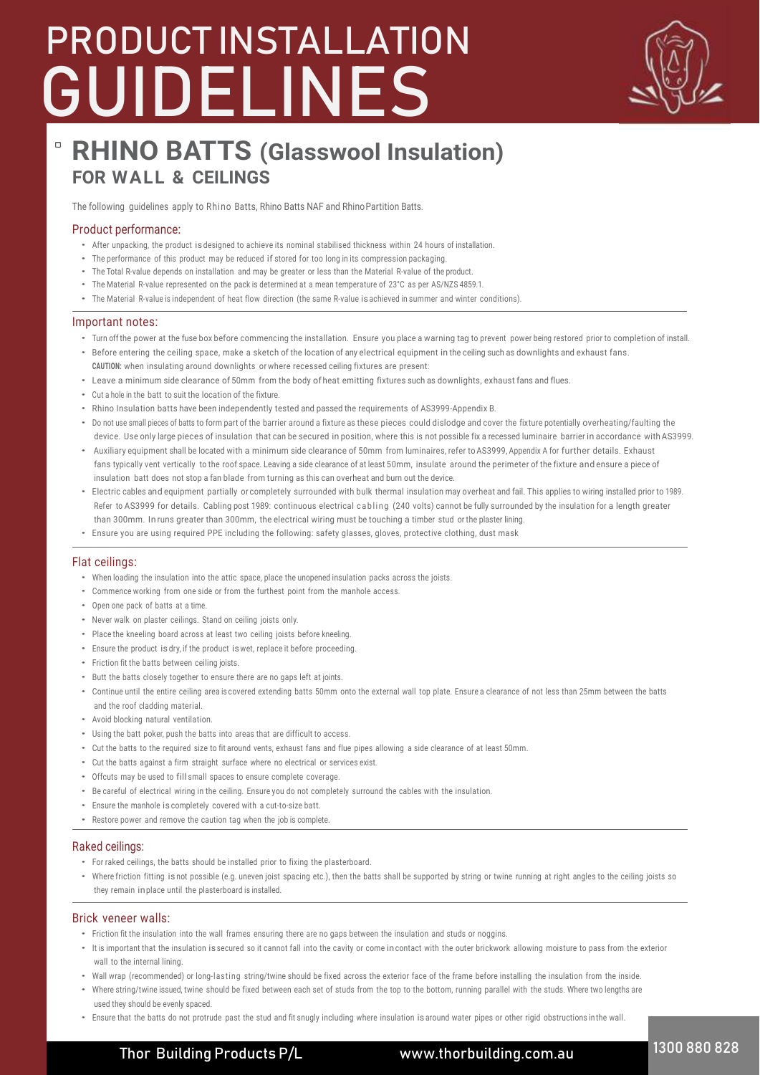# **P PRODUCT INSTALLATION GUIDELINES**



# $\Box$ **RHINO BATTS (Glasswool Insulation) FOR WALL & CEILINGS**

The following guidelines apply to Rhino Batts, Rhino Batts NAF and RhinoPartition Batts.

### Product performance:

- After unpacking, the product is designed to achieve its nominal stabilised thickness within 24 hours of installation.
- The performance of this product may be reduced if stored for too long in its compression packaging.
- The Total R-value depends on installation and may be greater or less than the Material R-value of the product.
- The Material R-value represented on the pack is determined at a mean temperature of 23°C as per AS/NZS 4859.1.
- The Material R-value is independent of heat flow direction (the same R-value is achieved in summer and winter conditions).

#### Important notes:

- Turn off the power at the fuse box before commencing the installation. Ensure you place a warning tag to prevent power being restored prior to completion of install.
- Before entering the ceiling space, make a sketch of the location of any electrical equipment in the ceiling such as downlights and exhaust fans.
- **CAUTION:** when insulating around downlights or where recessed ceiling fixtures are present:
- Leave a minimum side clearance of 50mm from the body of heat emitting fixtures such as downlights, exhaust fans and flues.
- Cut a hole in the batt to suit the location of the fixture.
- Rhino Insulation batts have been independently tested and passed the requirements of AS3999-Appendix B.
- Do not use small pieces of batts to form part of the barrier around a fixture as these pieces could dislodge and cover the fixture potentially overheating/faulting the device. Use only large pieces of insulation that can be secured in position, where this is not possible fix a recessed luminaire barrier in accordance with AS3999.
- Auxiliary equipment shall be located with a minimum side clearance of 50mm from luminaires, refer to AS3999, Appendix A for further details. Exhaust fans typically vent vertically to the roof space. Leaving a side clearance of at least 50mm, insulate around the perimeter of the fixture and ensure a piece of insulation batt does not stop a fan blade from turning as this can overheat and burn out the device.
- Electric cables and equipment partially or completely surrounded with bulk thermal insulation may overheat and fail. This applies to wiring installed prior to 1989. Refer to AS3999 for details. Cabling post 1989: continuous electrical cabling (240 volts) cannot be fully surrounded by the insulation for a length greater than 300mm. In runs greater than 300mm, the electrical wiring must be touching a timber stud or the plaster lining.
- Ensure you are using required PPE including the following: safety glasses, gloves, protective clothing, dust mask

#### Flat ceilings:

- When loading the insulation into the attic space, place the unopened insulation packs across the joists.
- Commence working from one side or from the furthest point from the manhole access.
- Open one pack of batts at a time.
- Never walk on plaster ceilings. Stand on ceiling joists only.
- Place the kneeling board across at least two ceiling joists before kneeling.
- Ensure the product is dry, if the product is wet, replace it before proceeding.
- Friction fit the batts between ceiling joists.
- Butt the batts closely together to ensure there are no gaps left at joints.
- Continue until the entire ceiling area is covered extending batts 50mm onto the external wall top plate. Ensure a clearance of not less than 25mm between the batts and the roof cladding material.
- Avoid blocking natural ventilation.
- Using the batt poker, push the batts into areas that are difficult to access.
- Cut the batts to the required size to fit around vents, exhaust fans and flue pipes allowing a side clearance of at least 50mm.
- Cut the batts against a firm straight surface where no electrical or services exist.
- Offcuts may be used to fill small spaces to ensure complete coverage.
- Be careful of electrical wiring in the ceiling. Ensure you do not completely surround the cables with the insulation.
- Ensure the manhole is completely covered with a cut-to-size batt.
- Restore power and remove the caution tag when the job is complete.

#### Raked ceilings:

- For raked ceilings, the batts should be installed prior to fixing the plasterboard.
- Where friction fitting is not possible (e.g. uneven joist spacing etc.), then the batts shall be supported by string or twine running at right angles to the ceiling joists so they remain in place until the plasterboard is installed.

#### Brick veneer walls:

- Friction fit the insulation into the wall frames ensuring there are no gaps between the insulation and studs or noggins.
- It is important that the insulation is secured so it cannot fall into the cavity or come in contact with the outer brickwork allowing moisture to pass from the exterior wall to the internal lining.
- Wall wrap (recommended) or long-lasting string/twine should be fixed across the exterior face of the frame before installing the insulation from the inside.
- Where string/twine issued, twine should be fixed between each set of studs from the top to the bottom, running parallel with the studs. Where two lengths are used they should be evenly spaced.
- Ensure that the batts do not protrude past the stud and fit snugly including where insulation is around water pipes or other rigid obstructions inthe wall.

**Thor Building Products P/L www.thorbuilding.com.au 1300 880 828**